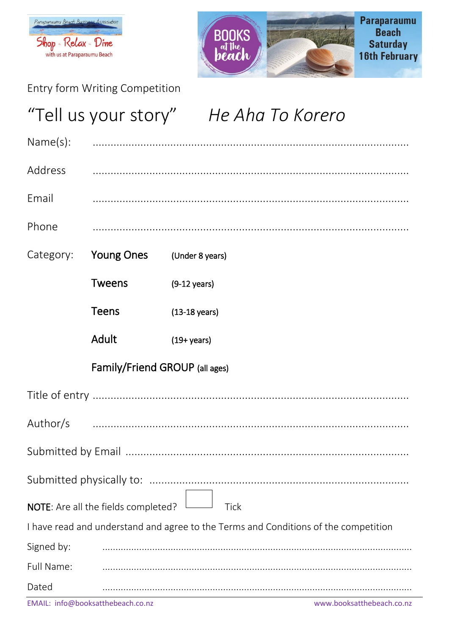



Entry form Writing Competition

## "Tell us your story" He Aha To Korero Name(s): Address Fmail Phone Category: **Young Ones** (Under 8 years) **Tweens**  $(9-12 \text{ years})$ **Teens**  $(13-18 \text{ years})$ **Adult**  $(19 + \text{years})$ Family/Friend GROUP (all ages) Author/s NOTE: Are all the fields completed? **Tick** I have read and understand and agree to the Terms and Conditions of the competition Signed by: Full Name: Dated